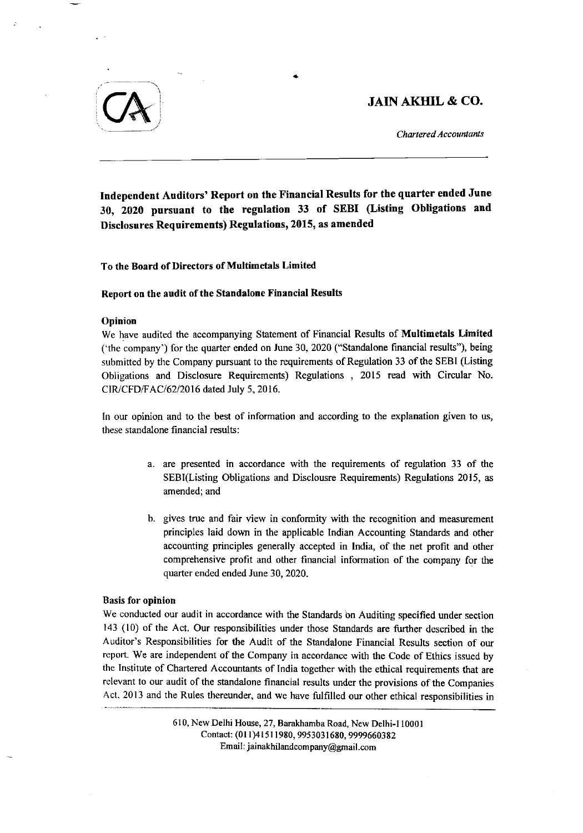# JAINAKHIL& CO.

Chartered Accountants

Independent Auditors' Report on the Financial Results for the quarter ended June 30, 2020 pursuant to the regulation 33 of SEBI (Listing Obligations and Disclosures Requirements) Regulations, 2015, as amended

## To the Board of Directors of Multimetals Limited

## Report on the audit of the Standalone Financial Results

## Opinion

We have audited the accompanying Statement of Financial Results of Multimetals Limited ('the company') for the quarter ended on June 30,2020 ("Standalone financial results"), being submitted by the Company pursuant to the requirements of Regulation 33 of the SEBI (Listing Obligations and Disclosure Requirements) Regulations , 2015 read with Circular No. CIR/CFD/FAC/62/2016 dated July 5, 2016.

ln our opinion and to the best of information and according to the explanation given to us, these standalone financial results:

- a. are presented in accordance with the requirements of regulation 33 of the SEBI(Listing Obligations and Disclousre Requirements) Regulations 2015, as amended; and
- b. gives true and fair view in conformity with the recognition and measurement principles laid down in the applicable Indian Accounting Standards and other accounting principles generally accepted in India, of the net profit and other comprehensive profit and other financial information of the company for the quarter ended ended June 30, 2020.

## Basis for opinion

We conducted our audit in accordance with the Standards on Auditing specified under section 143 (10) of the Act. Our responsibilities under those Standards are further described in the Auditor's Responsibilities for the Audit of the Standalone Financial Results section of our report- We are independent of the Company in accordance with the Code of Ethics issued by the Institute of Chartered Accountants of India together with the ethical requirements that are relevant to our audit of the standalone financial results under the provisions of the Companies Act. 2013 and the Rules thereunder, and we have fulfilled our other ethical responsibilities in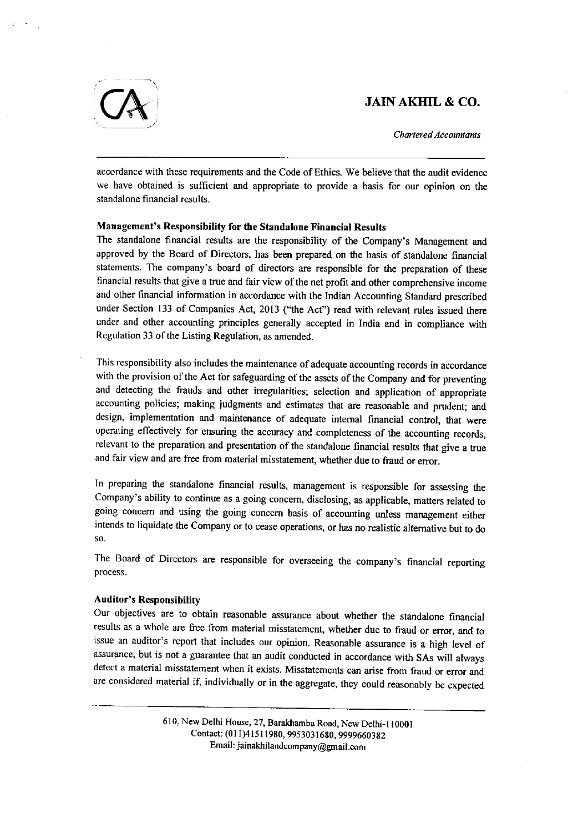

# JAINAKIIIL & CO.

Charlered Accountants

accordance with these requirements and the Code of Ethics. We believe that the audit evidence we have obtained is sufficienl and appropriate to provide a basis for our opinion on the standalone financial results.

# Management's Responsibility for the Standalone Financial Results

The standalone financial results are the responsibility of the Company's Management and approved by the Board of Directors, has been prepared on the basis of standalone financial statements. The company's board of directors are responsible for the preparation of these financial results that give a true and fair view of the net profit and other comprehensive income and other financial information in accordance with the Indian Accounting Standard prescribed under Section 133 of Companies Act, 2013 ("the Act") read with relevant rules issued there under and other accounting principles generally accepted in India and in compliance with Regulation 33 of the Listing Regulation, as amended.

This responsibility also includes the maintenance of adequate accounting records in accordance with the provision of the Act for safeguarding of the assets of the Company and for preventing and detecting the frauds and other irregularities; selection and application of appropriate accounting policies; making judgments and estimates that are reasonable and prudent; and design, implementation and maintenance of adequate intemal financial control, that were operating effectively for ensuring the accuracy and completeness of the accounting records, relevant to the preparation and presentation of the standalone financial results that give a true and fair view and are free from material misstatement, whether due to fraud or error.

In preparing the standalone financial results, management is responsible for assessing the Company's ability to continue as a going concern, disclosing, as applicable, matters related to going concem and using the going concern basis of accounting unless management either intends to liquidate the company or to cease operations, or has no realistic altemative but to do so.

The Board of Directors are responsible for overseeing the company's financial reporting process.

# Auditor's Responsibility

our objectives are to obtain reasonable assurance about whether the standalone financial results as a whole are free from material misstatement, whether due to fraud or error, and to issue an auditor's report that includes our opinion. Reasonable assurance is a high level of assurance, but is not a guarantee that an audit conducted in accordance with SAs will always detect a material misstatement when it exists. Misstatements can arise from fraud or error and are considered material if, individually or in the aggregate, they could reasonably be expected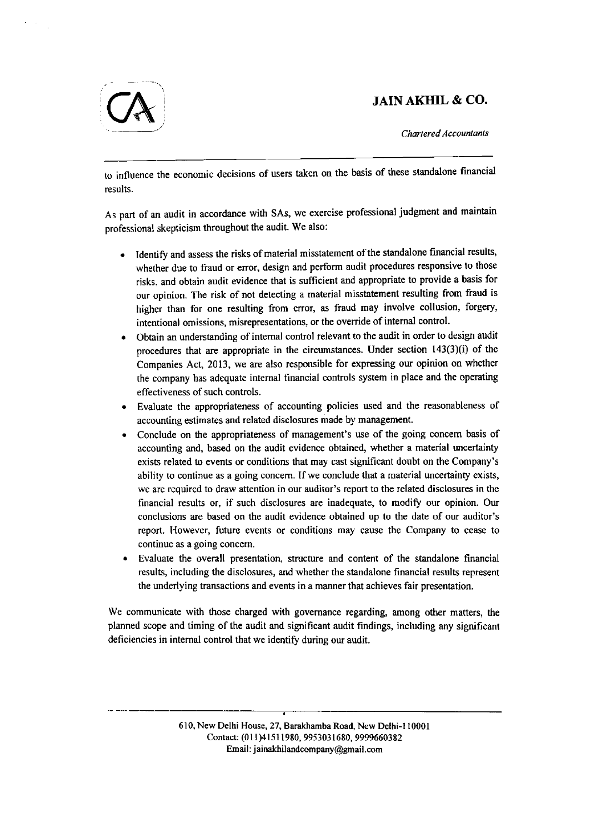# JAINAKHIL & CO.

Chartered Accountants

to influence the economic decisions of users taken on the basis of these standalone financial results.

As part of an audit in accordance with SAs, we exercise professional judgment and maintain professional skepticism throughout the audit. We also:

- Identify and assess the risks of material misstatement of the standalone financial results, whether due to fraud or error, design and perform audit procedures responsive to those risks. and obtain audit evidence that is sufficient and appropriate to provide a basis for our opinion. The risk of not detecting a material misstatement resulting from fraud is higher than for one resulting from error, as fraud may involve collusion, forgery, intentional omissions, misrepresentations, or the override of intemal control.
- . Obtain an understanding of internal control relevant to the audit in order to design audit procedures that are appropriate in the circumstances. Under section 143(3)(i) of the Companies Act, 2013, we are also responsible for expressing our opinion on whether the company has adequate intemal financial controls system in place and the operating effectiveness of such controls.
- . Evaluate the appropriateness of accounting policies used and the reasonableness of accounting estimates and related disclosures made by management.
- Conclude on the appropriateness of management's use of the going concern basis of accounting and, based on the audit evidence obtained, whether a material uncertainty exists related to events or conditions that may cast significant doubt on the Company's abiliry to continue as a going concem. If we conclude that a material uncertainty exists, we are required to draw attention in our auditor's report to the related disclosures in the financial results or, if such disclosures are inadequate, to modify our opinion. Our conclusions are based on the audit evidence obtained up to the date of our auditor's report. However, future events or conditions may cause the Company to cease to continue as a going concem.
- Evaluate the overall presentation, structure and content of the standalone financial results, including the disclosures, and whether the standalone financial results represent the underlying transactions and events in a manner that achieves fair presentation.

We communicate with those charged with govemance regarding, among other matters, the planned scope and timing of the audit and significant audit findings, including any significant deficiencies in internal control that we identify during our audit.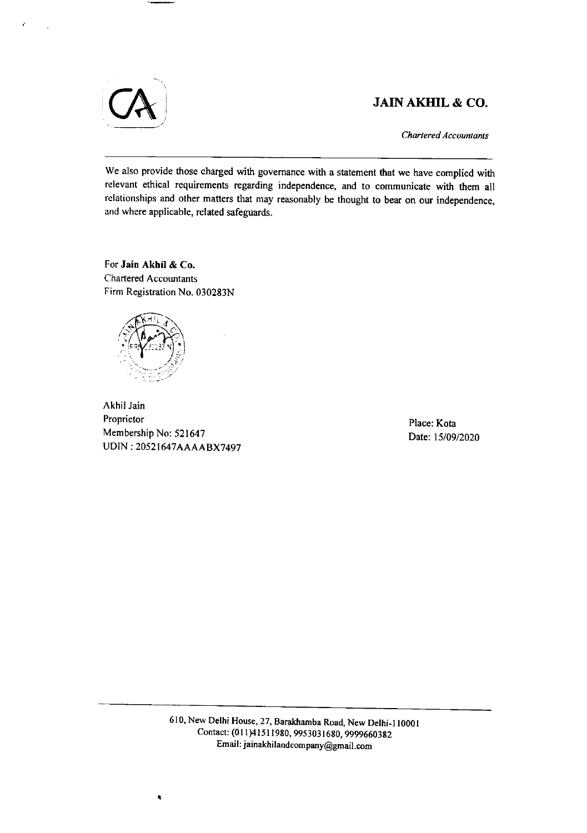

# JAINAKHIL & CO.

Chartered Accountants

We also provide those charged with govemance with a statement that we have complied with relevant ethical requirements regarding independence, and to communicate with them all relationships and other matters that may reasonably be thought to bear on our independence, and where applicable, related safeguards.

For Jain Akhil & Co. Chartered Accountants Firm Registration No. 030283N



Akhil Jain Proprietor Membership No: 521647 UDIN: 20521647AAAABX7497

 $\bullet$ 

Place: Kota Date: 15/09/2020